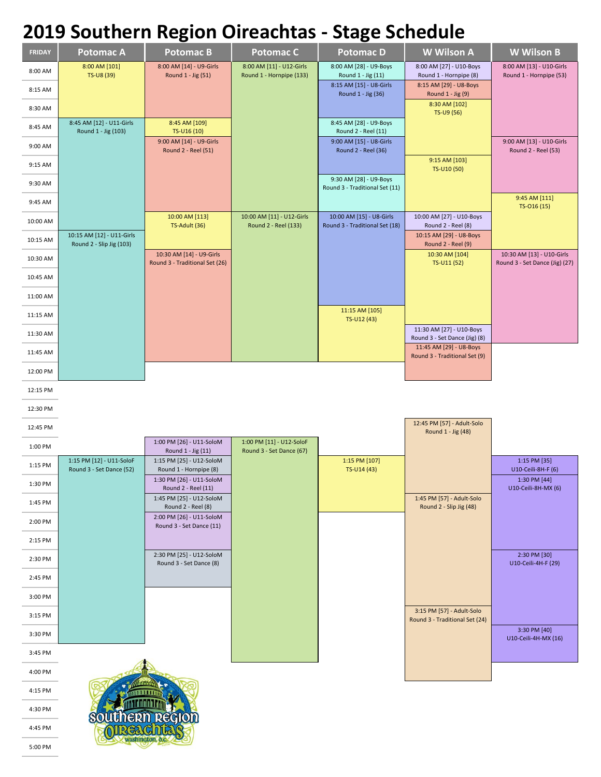## **2019 Southern Region Oireachtas - Stage Schedule**

|               |                                                       | Ό.                                                         |                                                      | $\mathbf{C}$                                               |                                                             |                                                             |
|---------------|-------------------------------------------------------|------------------------------------------------------------|------------------------------------------------------|------------------------------------------------------------|-------------------------------------------------------------|-------------------------------------------------------------|
| <b>FRIDAY</b> | <b>Potomac A</b>                                      | <b>Potomac B</b>                                           | <b>Potomac C</b>                                     | <b>PotomacD</b>                                            | W Wilson A                                                  | <b>W</b> Wilson B                                           |
| 8:00 AM       | 8:00 AM [101]<br>TS-U8 (39)                           | 8:00 AM [14] - U9-Girls<br>Round 1 - Jig (51)              | 8:00 AM [11] - U12-Girls<br>Round 1 - Hornpipe (133) | 8:00 AM [28] - U9-Boys<br>Round 1 - Jig (11)               | 8:00 AM [27] - U10-Boys<br>Round 1 - Hornpipe (8)           | 8:00 AM [13] - U10-Girls<br>Round 1 - Hornpipe (53)         |
| 8:15 AM       |                                                       |                                                            |                                                      | 8:15 AM [15] - U8-Girls<br>Round 1 - Jig (36)              | 8:15 AM [29] - U8-Boys<br>Round 1 - Jig (9)                 |                                                             |
| 8:30 AM       |                                                       |                                                            |                                                      |                                                            | 8:30 AM [102]<br>TS-U9 (56)                                 |                                                             |
| 8:45 AM       | 8:45 AM [12] - U11-Girls<br>Round 1 - Jig (103)       | 8:45 AM [109]<br>TS-U16 (10)                               |                                                      | 8:45 AM [28] - U9-Boys<br>Round 2 - Reel (11)              |                                                             |                                                             |
| 9:00 AM       |                                                       | 9:00 AM [14] - U9-Girls<br>Round 2 - Reel (51)             |                                                      | 9:00 AM [15] - U8-Girls<br>Round 2 - Reel (36)             |                                                             | 9:00 AM [13] - U10-Girls<br>Round 2 - Reel (53)             |
| 9:15 AM       |                                                       |                                                            |                                                      |                                                            | 9:15 AM [103]<br>TS-U10 (50)                                |                                                             |
| 9:30 AM       |                                                       |                                                            |                                                      | 9:30 AM [28] - U9-Boys<br>Round 3 - Traditional Set (11)   |                                                             |                                                             |
| 9:45 AM       |                                                       |                                                            |                                                      |                                                            |                                                             | 9:45 AM [111]<br>TS-016 (15)                                |
| 10:00 AM      |                                                       | 10:00 AM [113]<br>TS-Adult (36)                            | 10:00 AM [11] - U12-Girls<br>Round 2 - Reel (133)    | 10:00 AM [15] - U8-Girls<br>Round 3 - Traditional Set (18) | 10:00 AM [27] - U10-Boys<br>Round 2 - Reel (8)              |                                                             |
| 10:15 AM      | 10:15 AM [12] - U11-Girls<br>Round 2 - Slip Jig (103) |                                                            |                                                      |                                                            | 10:15 AM [29] - U8-Boys<br>Round 2 - Reel (9)               |                                                             |
| 10:30 AM      |                                                       | 10:30 AM [14] - U9-Girls<br>Round 3 - Traditional Set (26) |                                                      |                                                            | 10:30 AM [104]<br>TS-U11 (52)                               | 10:30 AM [13] - U10-Girls<br>Round 3 - Set Dance (Jig) (27) |
| 10:45 AM      |                                                       |                                                            |                                                      |                                                            |                                                             |                                                             |
| 11:00 AM      |                                                       |                                                            |                                                      |                                                            |                                                             |                                                             |
| 11:15 AM      |                                                       |                                                            |                                                      | 11:15 AM [105]<br>TS-U12 (43)                              |                                                             |                                                             |
| 11:30 AM      |                                                       |                                                            |                                                      |                                                            | 11:30 AM [27] - U10-Boys<br>Round 3 - Set Dance (Jig) (8)   |                                                             |
| 11:45 AM      |                                                       |                                                            |                                                      |                                                            | 11:45 AM [29] - U8-Boys<br>Round 3 - Traditional Set (9)    |                                                             |
| 12:00 PM      |                                                       |                                                            |                                                      |                                                            |                                                             |                                                             |
| 12:15 PM      |                                                       |                                                            |                                                      |                                                            |                                                             |                                                             |
| 12:30 PM      |                                                       |                                                            |                                                      |                                                            |                                                             |                                                             |
| 12:45 PM      |                                                       |                                                            |                                                      |                                                            | 12:45 PM [57] - Adult-Solo<br>Round 1 - Jig (48)            |                                                             |
| 1:00 PM       |                                                       | 1:00 PM [26] - U11-SoloM<br>Round 1 - Jig (11)             | 1:00 PM [11] - U12-SoloF<br>Round 3 - Set Dance (67) |                                                            |                                                             |                                                             |
| 1:15 PM       | 1:15 PM [12] - U11-SoloF<br>Round 3 - Set Dance (52)  | 1:15 PM [25] - U12-SoloM<br>Round 1 - Hornpipe (8)         |                                                      | 1:15 PM [107]<br>TS-U14 (43)                               |                                                             | 1:15 PM [35]<br>U10-Ceili-8H-F (6)                          |
| 1:30 PM       |                                                       | 1:30 PM [26] - U11-SoloM<br>Round 2 - Reel (11)            |                                                      |                                                            |                                                             | $1:30$ PM [44]<br>U10-Ceili-8H-MX (6)                       |
| 1:45 PM       |                                                       | 1:45 PM [25] - U12-SoloM<br>Round 2 - Reel (8)             |                                                      |                                                            | 1:45 PM [57] - Adult-Solo<br>Round 2 - Slip Jig (48)        |                                                             |
| 2:00 PM       |                                                       | 2:00 PM [26] - U11-SoloM<br>Round 3 - Set Dance (11)       |                                                      |                                                            |                                                             |                                                             |
| 2:15 PM       |                                                       |                                                            |                                                      |                                                            |                                                             |                                                             |
| 2:30 PM       |                                                       | 2:30 PM [25] - U12-SoloM<br>Round 3 - Set Dance (8)        |                                                      |                                                            |                                                             | 2:30 PM [30]<br>U10-Ceili-4H-F (29)                         |
| 2:45 PM       |                                                       |                                                            |                                                      |                                                            |                                                             |                                                             |
| 3:00 PM       |                                                       |                                                            |                                                      |                                                            |                                                             |                                                             |
| 3:15 PM       |                                                       |                                                            |                                                      |                                                            | 3:15 PM [57] - Adult-Solo<br>Round 3 - Traditional Set (24) |                                                             |
| 3:30 PM       |                                                       |                                                            |                                                      |                                                            |                                                             | 3:30 PM [40]<br>U10-Ceili-4H-MX (16)                        |
| 3:45 PM       |                                                       |                                                            |                                                      |                                                            |                                                             |                                                             |
| 4:00 PM       |                                                       |                                                            |                                                      |                                                            |                                                             |                                                             |
| 4:15 PM       |                                                       |                                                            |                                                      |                                                            |                                                             |                                                             |
| 4:30 PM       |                                                       |                                                            |                                                      |                                                            |                                                             |                                                             |
| 4:45 PM       |                                                       |                                                            |                                                      |                                                            |                                                             |                                                             |

4:45 PM 5:00 PM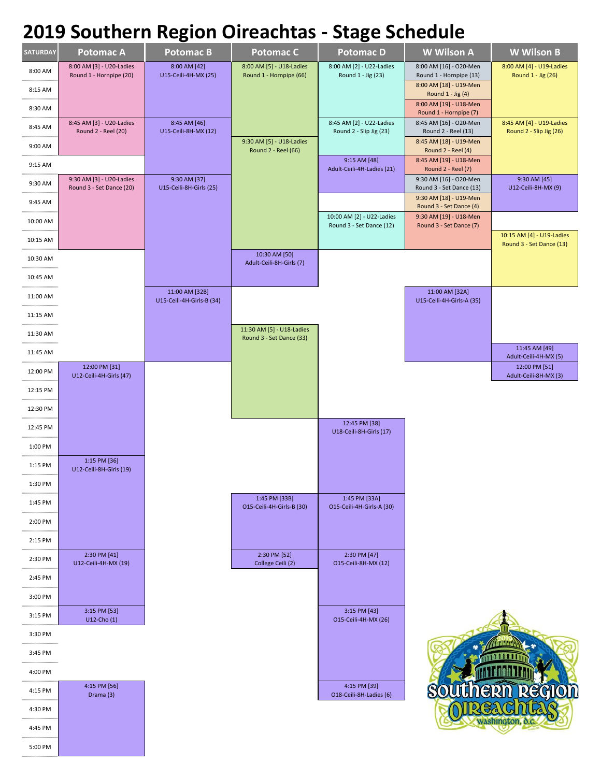## **2019 Southern Region Oireachtas - Stage Schedule**

|                 |                                                      | $\tilde{\phantom{a}}$                       |                                                       | $\tilde{\phantom{a}}$                                 |                                                    |                                                       |
|-----------------|------------------------------------------------------|---------------------------------------------|-------------------------------------------------------|-------------------------------------------------------|----------------------------------------------------|-------------------------------------------------------|
| <b>SATURDAY</b> | <b>Potomac A</b>                                     | <b>Potomac B</b>                            | <b>Potomac C</b>                                      | <b>Potomac D</b>                                      | <b>W</b> Wilson A                                  | <b>W</b> Wilson B                                     |
| 8:00 AM         | 8:00 AM [3] - U20-Ladies<br>Round 1 - Hornpipe (20)  | 8:00 AM [42]<br>U15-Ceili-4H-MX (25)        | 8:00 AM [5] - U18-Ladies<br>Round 1 - Hornpipe (66)   | 8:00 AM [2] - U22-Ladies<br>Round 1 - Jig (23)        | 8:00 AM [16] - O20-Men<br>Round 1 - Hornpipe (13)  | 8:00 AM [4] - U19-Ladies<br>Round 1 - Jig (26)        |
| 8:15 AM         |                                                      |                                             |                                                       |                                                       | 8:00 AM [18] - U19-Men<br>Round 1 - Jig (4)        |                                                       |
| 8:30 AM         |                                                      |                                             |                                                       |                                                       | 8:00 AM [19] - U18-Men<br>Round 1 - Hornpipe (7)   |                                                       |
| 8:45 AM         | 8:45 AM [3] - U20-Ladies<br>Round 2 - Reel (20)      | 8:45 AM [46]<br>U15-Ceili-8H-MX (12)        |                                                       | 8:45 AM [2] - U22-Ladies<br>Round 2 - Slip Jig (23)   | 8:45 AM [16] - O20-Men<br>Round 2 - Reel (13)      | 8:45 AM [4] - U19-Ladies<br>Round 2 - Slip Jig (26)   |
| 9:00 AM         |                                                      |                                             | 9:30 AM [5] - U18-Ladies<br>Round 2 - Reel (66)       |                                                       | 8:45 AM [18] - U19-Men<br>Round 2 - Reel (4)       |                                                       |
| 9:15 AM         |                                                      |                                             |                                                       | 9:15 AM [48]<br>Adult-Ceili-4H-Ladies (21)            | 8:45 AM [19] - U18-Men<br>Round 2 - Reel (7)       |                                                       |
| 9:30 AM         | 9:30 AM [3] - U20-Ladies<br>Round 3 - Set Dance (20) | 9:30 AM [37]<br>U15-Ceili-8H-Girls (25)     |                                                       |                                                       | 9:30 AM [16] - O20-Men<br>Round 3 - Set Dance (13) | 9:30 AM [45]<br>U12-Ceili-8H-MX (9)                   |
| 9:45 AM         |                                                      |                                             |                                                       |                                                       | 9:30 AM [18] - U19-Men<br>Round 3 - Set Dance (4)  |                                                       |
| 10:00 AM        |                                                      |                                             |                                                       | 10:00 AM [2] - U22-Ladies<br>Round 3 - Set Dance (12) | 9:30 AM [19] - U18-Men<br>Round 3 - Set Dance (7)  |                                                       |
| 10:15 AM        |                                                      |                                             |                                                       |                                                       |                                                    | 10:15 AM [4] - U19-Ladies<br>Round 3 - Set Dance (13) |
| 10:30 AM        |                                                      |                                             | 10:30 AM [50]<br>Adult-Ceili-8H-Girls (7)             |                                                       |                                                    |                                                       |
| 10:45 AM        |                                                      |                                             |                                                       |                                                       |                                                    |                                                       |
| 11:00 AM        |                                                      | 11:00 AM [32B]<br>U15-Ceili-4H-Girls-B (34) |                                                       |                                                       | 11:00 AM [32A]<br>U15-Ceili-4H-Girls-A (35)        |                                                       |
| 11:15 AM        |                                                      |                                             |                                                       |                                                       |                                                    |                                                       |
| 11:30 AM        |                                                      |                                             | 11:30 AM [5] - U18-Ladies<br>Round 3 - Set Dance (33) |                                                       |                                                    |                                                       |
| 11:45 AM        |                                                      |                                             |                                                       |                                                       |                                                    | 11:45 AM [49]<br>Adult-Ceili-4H-MX (5)                |
| 12:00 PM        | 12:00 PM [31]<br>U12-Ceili-4H-Girls (47)             |                                             |                                                       |                                                       |                                                    | 12:00 PM [51]<br>Adult-Ceili-8H-MX (3)                |
| 12:15 PM        |                                                      |                                             |                                                       |                                                       |                                                    |                                                       |
| 12:30 PM        |                                                      |                                             |                                                       |                                                       |                                                    |                                                       |
| 12:45 PM        |                                                      |                                             |                                                       | 12:45 PM [38]<br>U18-Ceili-8H-Girls (17)              |                                                    |                                                       |
| 1:00 PM         |                                                      |                                             |                                                       |                                                       |                                                    |                                                       |
| 1:15 PM         | 1:15 PM [36]<br>U12-Ceili-8H-Girls (19)              |                                             |                                                       |                                                       |                                                    |                                                       |
| 1:30 PM         |                                                      |                                             |                                                       |                                                       |                                                    |                                                       |
| 1:45 PM         |                                                      |                                             | 1:45 PM [33B]<br>O15-Ceili-4H-Girls-B (30)            | 1:45 PM [33A]<br>O15-Ceili-4H-Girls-A (30)            |                                                    |                                                       |
| 2:00 PM         |                                                      |                                             |                                                       |                                                       |                                                    |                                                       |
| 2:15 PM         |                                                      |                                             |                                                       |                                                       |                                                    |                                                       |
| 2:30 PM         | 2:30 PM [41]<br>U12-Ceili-4H-MX (19)                 |                                             | 2:30 PM [52]<br>College Ceili (2)                     | 2:30 PM [47]<br>015-Ceili-8H-MX (12)                  |                                                    |                                                       |
| 2:45 PM         |                                                      |                                             |                                                       |                                                       |                                                    |                                                       |
| 3:00 PM         |                                                      |                                             |                                                       |                                                       |                                                    |                                                       |
| 3:15 PM         | 3:15 PM [53]<br>$U12$ -Cho $(1)$                     |                                             |                                                       | 3:15 PM [43]<br>O15-Ceili-4H-MX (26)                  |                                                    |                                                       |
| 3:30 PM         |                                                      |                                             |                                                       |                                                       |                                                    |                                                       |
| 3:45 PM         |                                                      |                                             |                                                       |                                                       |                                                    |                                                       |
| 4:00 PM         |                                                      |                                             |                                                       |                                                       |                                                    |                                                       |
| 4:15 PM         | 4:15 PM [56]<br>Drama (3)                            |                                             |                                                       | 4:15 PM [39]<br>O18-Ceili-8H-Ladies (6)               |                                                    | <b>Region</b>                                         |
| 4:30 PM         |                                                      |                                             |                                                       |                                                       |                                                    |                                                       |
| 4:45 PM         |                                                      |                                             |                                                       |                                                       |                                                    |                                                       |
| 5:00 PM         |                                                      |                                             |                                                       |                                                       |                                                    |                                                       |